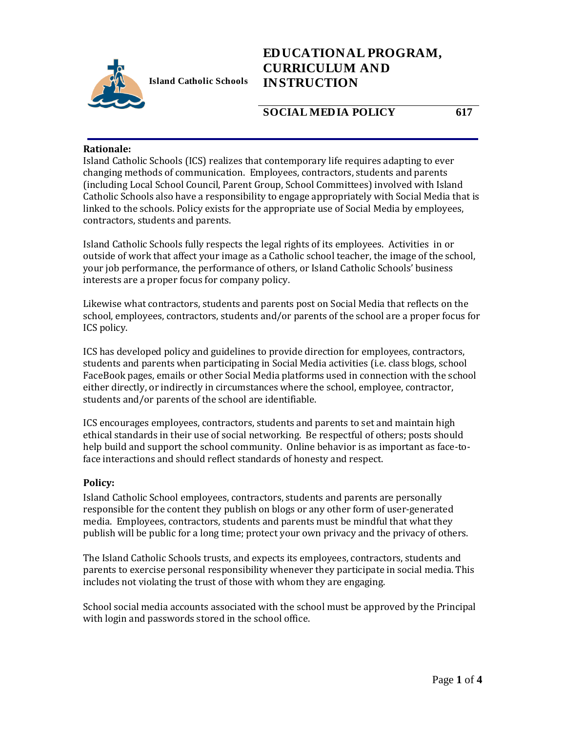

# **EDUCATIONAL PROGRAM, CURRICULUM AND INSTRUCTION**

## **SOCIAL MEDIA POLICY 617**

#### **Rationale:**

Island Catholic Schools (ICS) realizes that contemporary life requires adapting to ever changing methods of communication. Employees, contractors, students and parents (including Local School Council, Parent Group, School Committees) involved with Island Catholic Schools also have a responsibility to engage appropriately with Social Media that is linked to the schools. Policy exists for the appropriate use of Social Media by employees, contractors, students and parents.

Island Catholic Schools fully respects the legal rights of its employees. Activities in or outside of work that affect your image as a Catholic school teacher, the image of the school, your job performance, the performance of others, or Island Catholic Schools' business interests are a proper focus for company policy.

Likewise what contractors, students and parents post on Social Media that reflects on the school, employees, contractors, students and/or parents of the school are a proper focus for ICS policy.

ICS has developed policy and guidelines to provide direction for employees, contractors, students and parents when participating in Social Media activities (i.e. class blogs, school FaceBook pages, emails or other Social Media platforms used in connection with the school either directly, or indirectly in circumstances where the school, employee, contractor, students and/or parents of the school are identifiable.

ICS encourages employees, contractors, students and parents to set and maintain high ethical standards in their use of social networking. Be respectful of others; posts should help build and support the school community. Online behavior is as important as face-toface interactions and should reflect standards of honesty and respect.

#### **Policy:**

Island Catholic School employees, contractors, students and parents are personally responsible for the content they publish on blogs or any other form of user-generated media. Employees, contractors, students and parents must be mindful that what they publish will be public for a long time; protect your own privacy and the privacy of others.

The Island Catholic Schools trusts, and expects its employees, contractors, students and parents to exercise personal responsibility whenever they participate in social media. This includes not violating the trust of those with whom they are engaging.

School social media accounts associated with the school must be approved by the Principal with login and passwords stored in the school office.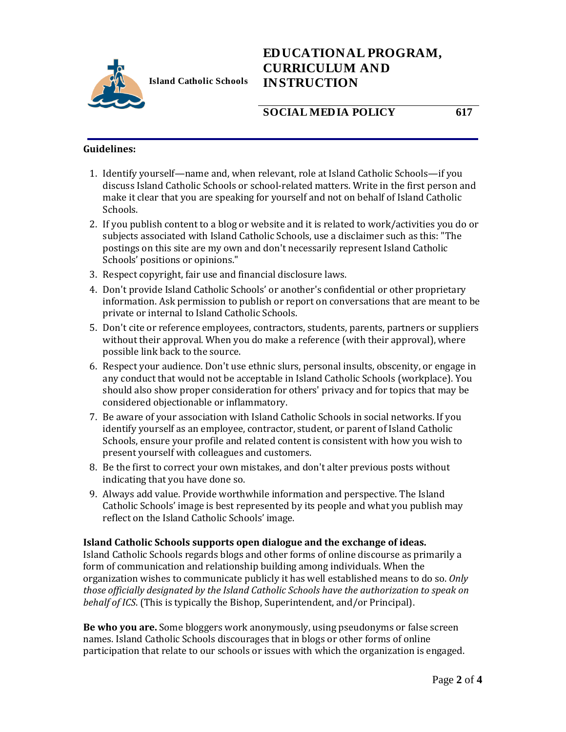

**Island Catholic Schools** 

# **EDUCATIONAL PROGRAM, CURRICULUM AND INSTRUCTION**

### **SOCIAL MEDIA POLICY 617**

#### **Guidelines:**

- 1. Identify yourself—name and, when relevant, role at Island Catholic Schools—if you discuss Island Catholic Schools or school-related matters. Write in the first person and make it clear that you are speaking for yourself and not on behalf of Island Catholic Schools.
- 2. If you publish content to a blog or website and it is related to work/activities you do or subjects associated with Island Catholic Schools, use a disclaimer such as this: "The postings on this site are my own and don't necessarily represent Island Catholic Schools' positions or opinions."
- 3. Respect copyright, fair use and financial disclosure laws.
- 4. Don't provide Island Catholic Schools' or another's confidential or other proprietary information. Ask permission to publish or report on conversations that are meant to be private or internal to Island Catholic Schools.
- 5. Don't cite or reference employees, contractors, students, parents, partners or suppliers without their approval. When you do make a reference (with their approval), where possible link back to the source.
- 6. Respect your audience. Don't use ethnic slurs, personal insults, obscenity, or engage in any conduct that would not be acceptable in Island Catholic Schools (workplace). You should also show proper consideration for others' privacy and for topics that may be considered objectionable or inflammatory.
- 7. Be aware of your association with Island Catholic Schools in social networks. If you identify yourself as an employee, contractor, student, or parent of Island Catholic Schools, ensure your profile and related content is consistent with how you wish to present yourself with colleagues and customers.
- 8. Be the first to correct your own mistakes, and don't alter previous posts without indicating that you have done so.
- 9. Always add value. Provide worthwhile information and perspective. The Island Catholic Schools' image is best represented by its people and what you publish may reflect on the Island Catholic Schools' image.

#### **Island Catholic Schools supports open dialogue and the exchange of ideas.**

Island Catholic Schools regards blogs and other forms of online discourse as primarily a form of communication and relationship building among individuals. When the organization wishes to communicate publicly it has well established means to do so. *Only those officially designated by the Island Catholic Schools have the authorization to speak on behalf of ICS*. (This is typically the Bishop, Superintendent, and/or Principal).

**Be who you are.** Some bloggers work anonymously, using pseudonyms or false screen names. Island Catholic Schools discourages that in blogs or other forms of online participation that relate to our schools or issues with which the organization is engaged.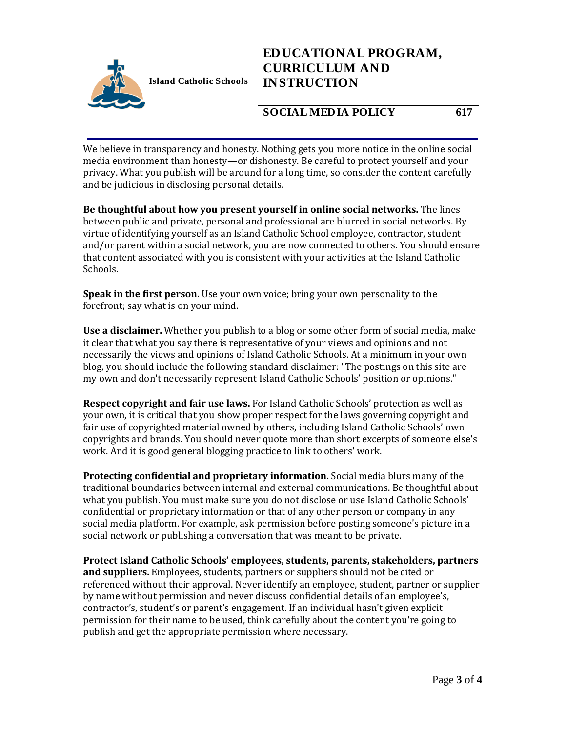

# **EDUCATIONAL PROGRAM, CURRICULUM AND INSTRUCTION**

## **SOCIAL MEDIA POLICY 617**

We believe in transparency and honesty. Nothing gets you more notice in the online social media environment than honesty—or dishonesty. Be careful to protect yourself and your privacy. What you publish will be around for a long time, so consider the content carefully and be judicious in disclosing personal details.

**Be thoughtful about how you present yourself in online social networks.** The lines between public and private, personal and professional are blurred in social networks. By virtue of identifying yourself as an Island Catholic School employee, contractor, student and/or parent within a social network, you are now connected to others. You should ensure that content associated with you is consistent with your activities at the Island Catholic Schools.

**Speak in the first person.** Use your own voice; bring your own personality to the forefront; say what is on your mind.

**Use a disclaimer.** Whether you publish to a blog or some other form of social media, make it clear that what you say there is representative of your views and opinions and not necessarily the views and opinions of Island Catholic Schools. At a minimum in your own blog, you should include the following standard disclaimer: "The postings on this site are my own and don't necessarily represent Island Catholic Schools' position or opinions."

**Respect copyright and fair use laws.** For Island Catholic Schools' protection as well as your own, it is critical that you show proper respect for the laws governing copyright and fair use of copyrighted material owned by others, including Island Catholic Schools' own copyrights and brands. You should never quote more than short excerpts of someone else's work. And it is good general blogging practice to link to others' work.

**Protecting confidential and proprietary information.** Social media blurs many of the traditional boundaries between internal and external communications. Be thoughtful about what you publish. You must make sure you do not disclose or use Island Catholic Schools' confidential or proprietary information or that of any other person or company in any social media platform. For example, ask permission before posting someone's picture in a social network or publishing a conversation that was meant to be private.

**Protect Island Catholic Schools' employees, students, parents, stakeholders, partners and suppliers.** Employees, students, partners or suppliers should not be cited or referenced without their approval. Never identify an employee, student, partner or supplier by name without permission and never discuss confidential details of an employee's, contractor's, student's or parent's engagement. If an individual hasn't given explicit permission for their name to be used, think carefully about the content you're going to publish and get the appropriate permission where necessary.